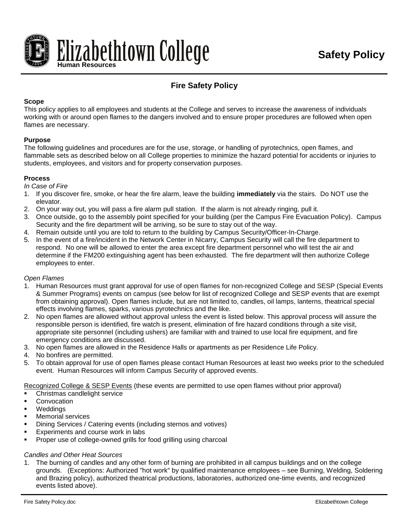



# **Fire Safety Policy**

## **Scope**

This policy applies to all employees and students at the College and serves to increase the awareness of individuals working with or around open flames to the dangers involved and to ensure proper procedures are followed when open flames are necessary.

## **Purpose**

The following guidelines and procedures are for the use, storage, or handling of pyrotechnics, open flames, and flammable sets as described below on all College properties to minimize the hazard potential for accidents or injuries to students, employees, and visitors and for property conservation purposes.

# **Process**

*In Case of Fire*

- 1. If you discover fire, smoke, or hear the fire alarm, leave the building **immediately** via the stairs. Do NOT use the elevator.
- 2. On your way out, you will pass a fire alarm pull station. If the alarm is not already ringing, pull it.
- 3. Once outside, go to the assembly point specified for your building (per the Campus Fire Evacuation Policy). Campus Security and the fire department will be arriving, so be sure to stay out of the way.
- 4. Remain outside until you are told to return to the building by Campus Security/Officer-In-Charge.
- 5. In the event of a fire/incident in the Network Center in Nicarry, Campus Security will call the fire department to respond. No one will be allowed to enter the area except fire department personnel who will test the air and determine if the FM200 extinguishing agent has been exhausted. The fire department will then authorize College employees to enter.

#### *Open Flames*

- 1. Human Resources must grant approval for use of open flames for non-recognized College and SESP (Special Events & Summer Programs) events on campus (see below for list of recognized College and SESP events that are exempt from obtaining approval). Open flames include, but are not limited to, candles, oil lamps, lanterns, theatrical special effects involving flames, sparks, various pyrotechnics and the like.
- 2. No open flames are allowed without approval unless the event is listed below. This approval process will assure the responsible person is identified, fire watch is present, elimination of fire hazard conditions through a site visit, appropriate site personnel (including ushers) are familiar with and trained to use local fire equipment, and fire emergency conditions are discussed.
- 3. No open flames are allowed in the Residence Halls or apartments as per Residence Life Policy.
- 4. No bonfires are permitted.
- 5. To obtain approval for use of open flames please contact Human Resources at least two weeks prior to the scheduled event. Human Resources will inform Campus Security of approved events.

Recognized College & SESP Events (these events are permitted to use open flames without prior approval)

- Christmas candlelight service
- **Convocation**
- **Weddings**
- Memorial services
- **•** Dining Services / Catering events (including sternos and votives)
- Experiments and course work in labs
- Proper use of college-owned grills for food grilling using charcoal

# *Candles and Other Heat Sources*

1. The burning of candles and any other form of burning are prohibited in all campus buildings and on the college grounds. (Exceptions: Authorized "hot work" by qualified maintenance employees – see Burning, Welding, Soldering and Brazing policy), authorized theatrical productions, laboratories, authorized one-time events, and recognized events listed above).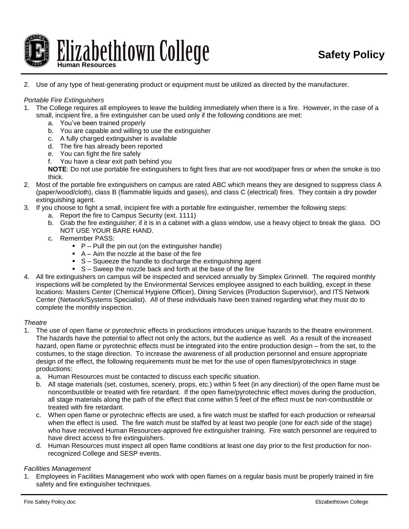

## 2. Use of any type of heat-generating product or equipment must be utilized as directed by the manufacturer.

#### *Portable Fire Extinguishers*

- 1. The College requires all employees to leave the building immediately when there is a fire. However, in the case of a
	- small, incipient fire, a fire extinguisher can be used only if the following conditions are met:
		- a. You've been trained properly
		- b. You are capable and willing to use the extinguisher
		- c. A fully charged extinguisher is available
		- d. The fire has already been reported
		- e. You can fight the fire safely
		- f. You have a clear exit path behind you

**NOTE**: Do not use portable fire extinguishers to fight fires that are not wood/paper fires or when the smoke is too thick.

- 2. Most of the portable fire extinguishers on campus are rated ABC which means they are designed to suppress class A (paper/wood/cloth), class B (flammable liquids and gases), and class C (electrical) fires. They contain a dry powder extinguishing agent.
- 3. If you choose to fight a small, incipient fire with a portable fire extinguisher, remember the following steps:
	- a. Report the fire to Campus Security (ext. 1111)
	- b. Grab the fire extinguisher; if it is in a cabinet with a glass window, use a heavy object to break the glass. DO NOT USE YOUR BARE HAND.
	- c. Remember PASS:
		- $\blacksquare$  P Pull the pin out (on the extinguisher handle)
		- $A A$ im the nozzle at the base of the fire
		- $S -$  Squeeze the handle to discharge the extinguishing agent
		- S Sweep the nozzle back and forth at the base of the fire
- 4. All fire extinguishers on campus will be inspected and serviced annually by Simplex Grinnell. The required monthly inspections will be completed by the Environmental Services employee assigned to each building, except in these locations: Masters Center (Chemical Hygiene Officer), Dining Services (Production Supervisor), and ITS Network Center (Network/Systems Specialist). All of these individuals have been trained regarding what they must do to complete the monthly inspection.

#### *Theatre*

- 1. The use of open flame or pyrotechnic effects in productions introduces unique hazards to the theatre environment. The hazards have the potential to affect not only the actors, but the audience as well. As a result of the increased hazard, open flame or pyrotechnic effects must be integrated into the entire production design – from the set, to the costumes, to the stage direction. To increase the awareness of all production personnel and ensure appropriate design of the effect, the following requirements must be met for the use of open flames/pyrotechnics in stage productions:
	- a. Human Resources must be contacted to discuss each specific situation.
	- b. All stage materials (set, costumes, scenery, props, etc.) within 5 feet (in any direction) of the open flame must be noncombustible or treated with fire retardant. If the open flame/pyrotechnic effect moves during the production, all stage materials along the path of the effect that come within 5 feet of the effect must be non-combustible or treated with fire retardant.
	- c. When open flame or pyrotechnic effects are used, a fire watch must be staffed for each production or rehearsal when the effect is used. The fire watch must be staffed by at least two people (one for each side of the stage) who have received Human Resources-approved fire extinguisher training. Fire watch personnel are required to have direct access to fire extinguishers.
	- d. Human Resources must inspect all open flame conditions at least one day prior to the first production for nonrecognized College and SESP events.

#### *Facilities Management*

1. Employees in Facilities Management who work with open flames on a regular basis must be properly trained in fire safety and fire extinguisher techniques.